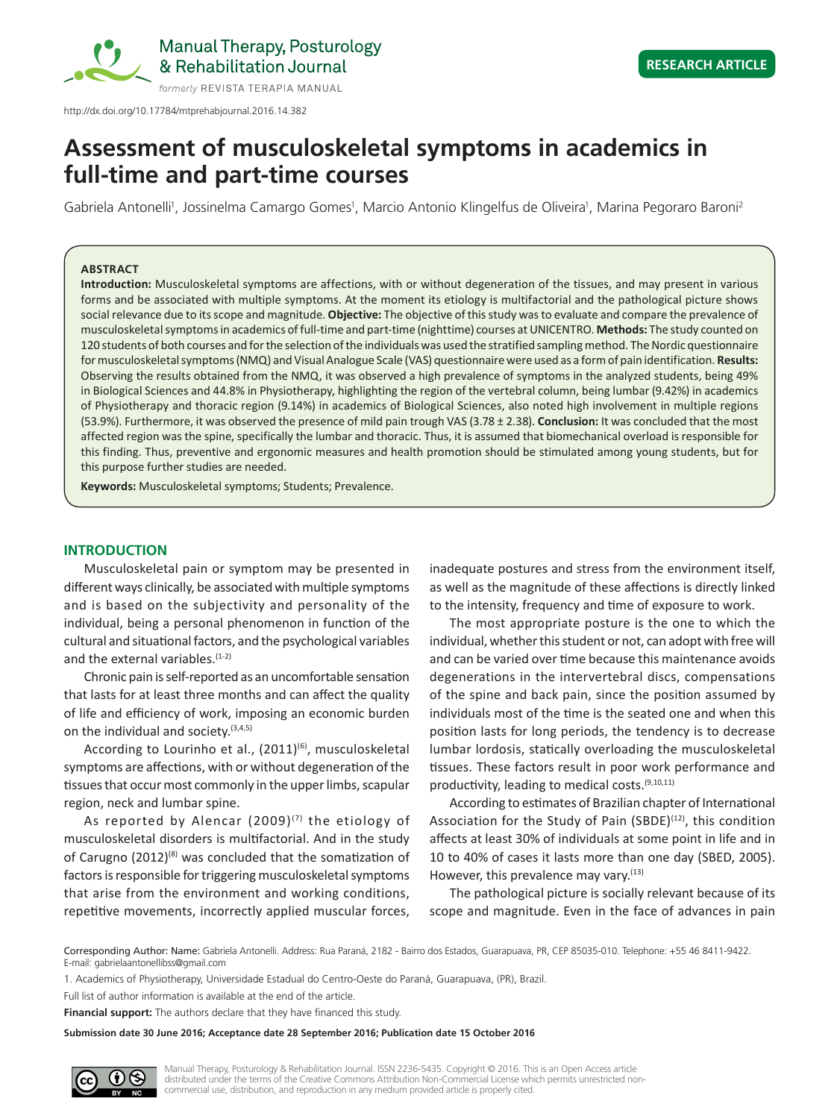

http://dx.doi.org/10.17784/mtprehabjournal.2016.14.382

# **Assessment of musculoskeletal symptoms in academics in full‑time and part-time courses**

Gabriela Antonelli<sup>1</sup>, Jossinelma Camargo Gomes<sup>1</sup>, Marcio Antonio Klingelfus de Oliveira<sup>1</sup>, Marina Pegoraro Baroni<sup>2</sup>

#### **ABSTRACT**

**Introduction:** Musculoskeletal symptoms are affections, with or without degeneration of the tissues, and may present in various forms and be associated with multiple symptoms. At the moment its etiology is multifactorial and the pathological picture shows social relevance due to its scope and magnitude. **Objective:** The objective of this study was to evaluate and compare the prevalence of musculoskeletal symptoms in academics of full-time and part-time (nighttime) courses at UNICENTRO. **Methods:** The study counted on 120 students of both courses and for the selection of the individuals was used the stratified sampling method. The Nordic questionnaire for musculoskeletal symptoms (NMQ) and Visual Analogue Scale (VAS) questionnaire were used as a form of pain identification. **Results:** Observing the results obtained from the NMQ, it was observed a high prevalence of symptoms in the analyzed students, being 49% in Biological Sciences and 44.8% in Physiotherapy, highlighting the region of the vertebral column, being lumbar (9.42%) in academics of Physiotherapy and thoracic region (9.14%) in academics of Biological Sciences, also noted high involvement in multiple regions (53.9%). Furthermore, it was observed the presence of mild pain trough VAS (3.78 ± 2.38). **Conclusion:** It was concluded that the most affected region was the spine, specifically the lumbar and thoracic. Thus, it is assumed that biomechanical overload is responsible for this finding. Thus, preventive and ergonomic measures and health promotion should be stimulated among young students, but for this purpose further studies are needed.

**Keywords:** Musculoskeletal symptoms; Students; Prevalence.

# **INTRODUCTION**

Musculoskeletal pain or symptom may be presented in different ways clinically, be associated with multiple symptoms and is based on the subjectivity and personality of the individual, being a personal phenomenon in function of the cultural and situational factors, and the psychological variables and the external variables.<sup>(1-2)</sup>

Chronic pain is self-reported as an uncomfortable sensation that lasts for at least three months and can affect the quality of life and efficiency of work, imposing an economic burden on the individual and society.  $(3,4,5)$ 

According to Lourinho et al., (2011)<sup>(6)</sup>, musculoskeletal symptoms are affections, with or without degeneration of the tissues that occur most commonly in the upper limbs, scapular region, neck and lumbar spine.

As reported by Alencar  $(2009)^{(7)}$  the etiology of musculoskeletal disorders is multifactorial. And in the study of Carugno  $(2012)^{(8)}$  was concluded that the somatization of factors is responsible for triggering musculoskeletal symptoms that arise from the environment and working conditions, repetitive movements, incorrectly applied muscular forces,

inadequate postures and stress from the environment itself, as well as the magnitude of these affections is directly linked to the intensity, frequency and time of exposure to work.

The most appropriate posture is the one to which the individual, whether this student or not, can adopt with free will and can be varied over time because this maintenance avoids degenerations in the intervertebral discs, compensations of the spine and back pain, since the position assumed by individuals most of the time is the seated one and when this position lasts for long periods, the tendency is to decrease lumbar lordosis, statically overloading the musculoskeletal tissues. These factors result in poor work performance and productivity, leading to medical costs.(9,10,11)

According to estimates of Brazilian chapter of International Association for the Study of Pain (SBDE) $(12)$ , this condition affects at least 30% of individuals at some point in life and in 10 to 40% of cases it lasts more than one day (SBED, 2005). However, this prevalence may vary.<sup>(13)</sup>

The pathological picture is socially relevant because of its scope and magnitude. Even in the face of advances in pain

Corresponding Author: Name: Gabriela Antonelli. Address: Rua Paraná, 2182 - Bairro dos Estados, Guarapuava, PR, CEP 85035-010. Telephone: +55 46 8411-9422. E-mail: gabrielaantonellibss@gmail.com

1. Academics of Physiotherapy, Universidade Estadual do Centro-Oeste do Paraná, Guarapuava, (PR), Brazil.

**Financial support:** The authors declare that they have financed this study.

**Submission date 30 June 2016; Acceptance date 28 September 2016; Publication date 15 October 2016**



Full list of author information is available at the end of the article.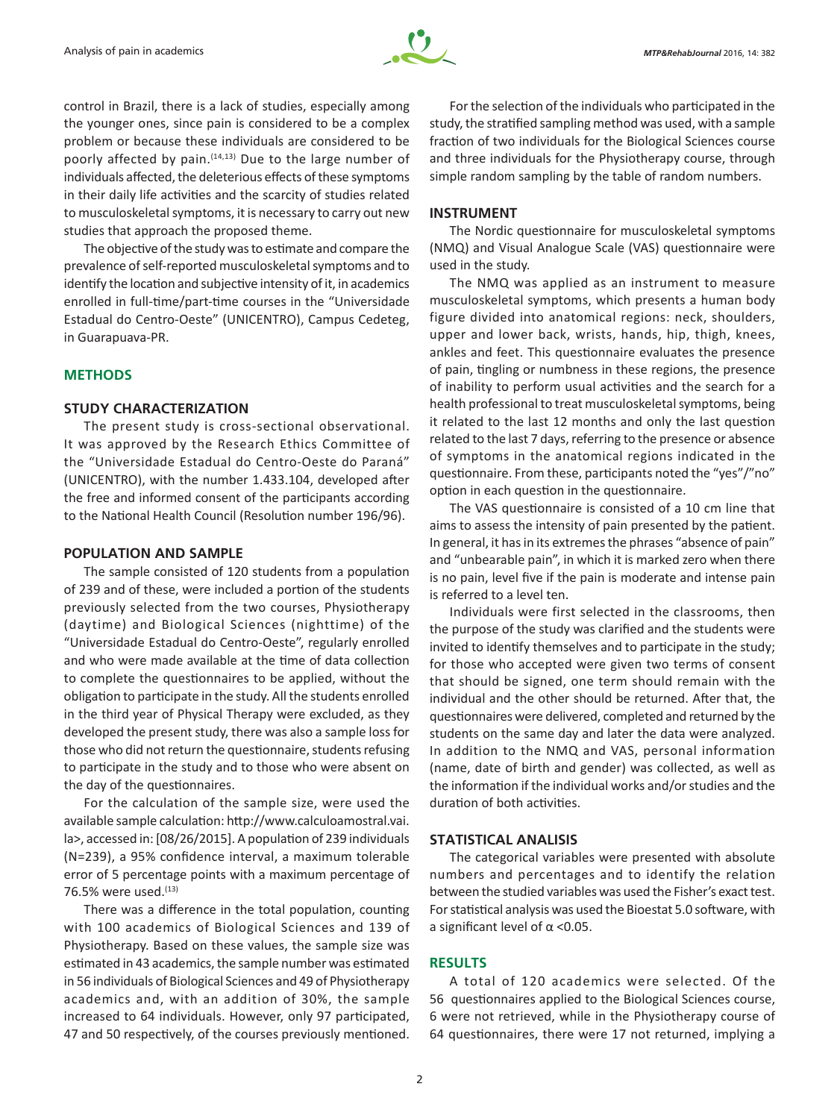

control in Brazil, there is a lack of studies, especially among the younger ones, since pain is considered to be a complex problem or because these individuals are considered to be poorly affected by pain.<sup>(14,13)</sup> Due to the large number of individuals affected, the deleterious effects of these symptoms in their daily life activities and the scarcity of studies related to musculoskeletal symptoms, it is necessary to carry out new studies that approach the proposed theme.

The objective of the study was to estimate and compare the prevalence of self-reported musculoskeletal symptoms and to identify the location and subjective intensity of it, in academics enrolled in full-time/part-time courses in the "Universidade Estadual do Centro-Oeste" (UNICENTRO), Campus Cedeteg, in Guarapuava-PR.

## **METHODS**

# **STUDY CHARACTERIZATION**

The present study is cross-sectional observational. It was approved by the Research Ethics Committee of the "Universidade Estadual do Centro-Oeste do Paraná" (UNICENTRO), with the number 1.433.104, developed after the free and informed consent of the participants according to the National Health Council (Resolution number 196/96).

## **POPULATION AND SAMPLE**

The sample consisted of 120 students from a population of 239 and of these, were included a portion of the students previously selected from the two courses, Physiotherapy (daytime) and Biological Sciences (nighttime) of the "Universidade Estadual do Centro-Oeste", regularly enrolled and who were made available at the time of data collection to complete the questionnaires to be applied, without the obligation to participate in the study. All the students enrolled in the third year of Physical Therapy were excluded, as they developed the present study, there was also a sample loss for those who did not return the questionnaire, students refusing to participate in the study and to those who were absent on the day of the questionnaires.

For the calculation of the sample size, were used the available sample calculation: http://www.calculoamostral.vai. la>, accessed in: [08/26/2015]. A population of 239 individuals (N=239), a 95% confidence interval, a maximum tolerable error of 5 percentage points with a maximum percentage of 76.5% were used.<sup>(13)</sup>

There was a difference in the total population, counting with 100 academics of Biological Sciences and 139 of Physiotherapy. Based on these values, the sample size was estimated in 43 academics, the sample number was estimated in 56 individuals of Biological Sciences and 49 of Physiotherapy academics and, with an addition of 30%, the sample increased to 64 individuals. However, only 97 participated, 47 and 50 respectively, of the courses previously mentioned.

For the selection of the individuals who participated in the study, the stratified sampling method was used, with a sample fraction of two individuals for the Biological Sciences course and three individuals for the Physiotherapy course, through simple random sampling by the table of random numbers.

#### **INSTRUMENT**

The Nordic questionnaire for musculoskeletal symptoms (NMQ) and Visual Analogue Scale (VAS) questionnaire were used in the study.

The NMQ was applied as an instrument to measure musculoskeletal symptoms, which presents a human body figure divided into anatomical regions: neck, shoulders, upper and lower back, wrists, hands, hip, thigh, knees, ankles and feet. This questionnaire evaluates the presence of pain, tingling or numbness in these regions, the presence of inability to perform usual activities and the search for a health professional to treat musculoskeletal symptoms, being it related to the last 12 months and only the last question related to the last 7 days, referring to the presence or absence of symptoms in the anatomical regions indicated in the questionnaire. From these, participants noted the "yes"/"no" option in each question in the questionnaire.

The VAS questionnaire is consisted of a 10 cm line that aims to assess the intensity of pain presented by the patient. In general, it has in its extremes the phrases "absence of pain" and "unbearable pain", in which it is marked zero when there is no pain, level five if the pain is moderate and intense pain is referred to a level ten.

Individuals were first selected in the classrooms, then the purpose of the study was clarified and the students were invited to identify themselves and to participate in the study; for those who accepted were given two terms of consent that should be signed, one term should remain with the individual and the other should be returned. After that, the questionnaires were delivered, completed and returned by the students on the same day and later the data were analyzed. In addition to the NMQ and VAS, personal information (name, date of birth and gender) was collected, as well as the information if the individual works and/or studies and the duration of both activities.

# **STATISTICAL ANALISIS**

The categorical variables were presented with absolute numbers and percentages and to identify the relation between the studied variables was used the Fisher's exact test. For statistical analysis was used the Bioestat 5.0 software, with a significant level of α <0.05.

#### **RESULTS**

A total of 120 academics were selected. Of the 56 questionnaires applied to the Biological Sciences course, 6 were not retrieved, while in the Physiotherapy course of 64 questionnaires, there were 17 not returned, implying a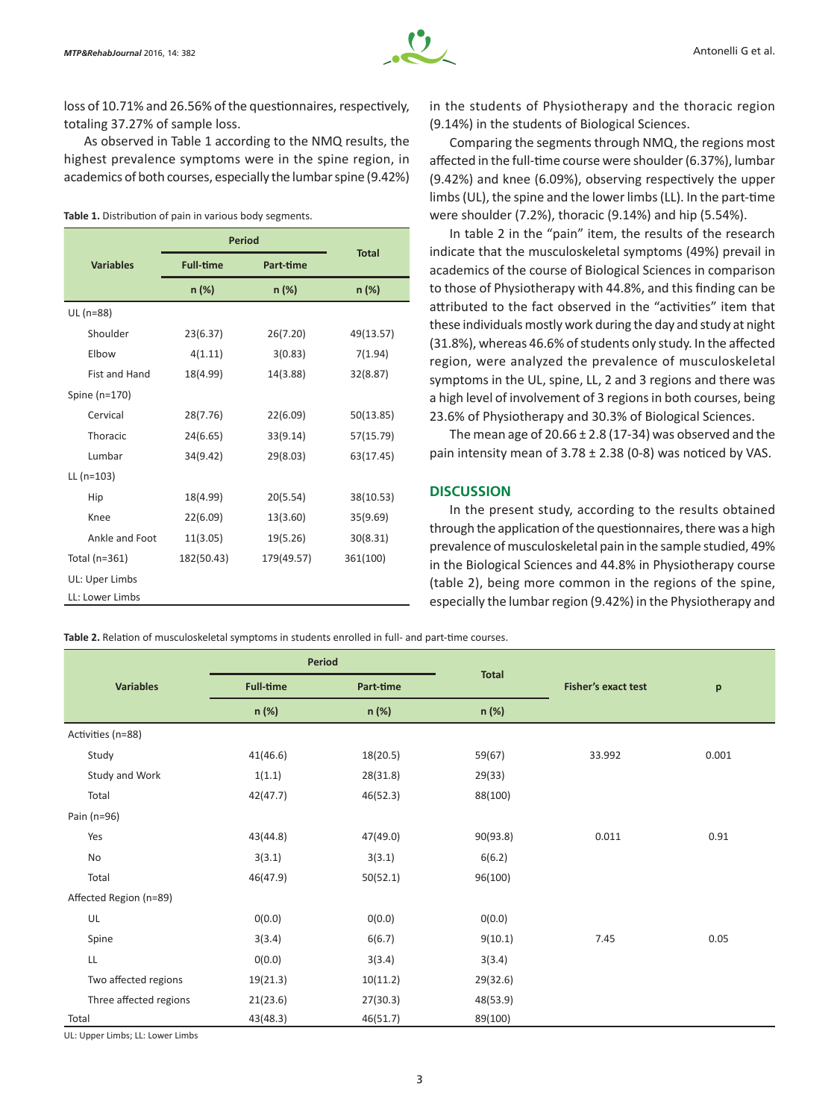loss of 10.71% and 26.56% of the questionnaires, respectively, totaling 37.27% of sample loss.

As observed in Table 1 according to the NMQ results, the highest prevalence symptoms were in the spine region, in academics of both courses, especially the lumbar spine (9.42%)

#### **Table 1.** Distribution of pain in various body segments.

|                  | <b>Period</b>    |            |              |  |  |  |
|------------------|------------------|------------|--------------|--|--|--|
| <b>Variables</b> | <b>Full-time</b> | Part-time  | <b>Total</b> |  |  |  |
|                  | n (%)            | n (%)      |              |  |  |  |
| UL (n=88)        |                  |            |              |  |  |  |
| Shoulder         | 23(6.37)         | 26(7.20)   | 49(13.57)    |  |  |  |
| Elbow            | 4(1.11)          | 3(0.83)    | 7(1.94)      |  |  |  |
| Fist and Hand    | 18(4.99)         | 14(3.88)   | 32(8.87)     |  |  |  |
| Spine (n=170)    |                  |            |              |  |  |  |
| Cervical         | 28(7.76)         | 22(6.09)   | 50(13.85)    |  |  |  |
| Thoracic         | 24(6.65)         | 33(9.14)   | 57(15.79)    |  |  |  |
| Lumbar           | 34(9.42)         | 29(8.03)   | 63(17.45)    |  |  |  |
| $LL (n=103)$     |                  |            |              |  |  |  |
| Hip              | 18(4.99)         | 20(5.54)   | 38(10.53)    |  |  |  |
| Knee             | 22(6.09)         | 13(3.60)   | 35(9.69)     |  |  |  |
| Ankle and Foot   | 11(3.05)         | 19(5.26)   | 30(8.31)     |  |  |  |
| Total (n=361)    | 182(50.43)       | 179(49.57) | 361(100)     |  |  |  |
| UL: Uper Limbs   |                  |            |              |  |  |  |
| LL: Lower Limbs  |                  |            |              |  |  |  |

in the students of Physiotherapy and the thoracic region (9.14%) in the students of Biological Sciences.

Comparing the segments through NMQ, the regions most affected in the full-time course were shoulder (6.37%), lumbar (9.42%) and knee (6.09%), observing respectively the upper limbs (UL), the spine and the lower limbs (LL). In the part-time were shoulder (7.2%), thoracic (9.14%) and hip (5.54%).

In table 2 in the "pain" item, the results of the research indicate that the musculoskeletal symptoms (49%) prevail in academics of the course of Biological Sciences in comparison to those of Physiotherapy with 44.8%, and this finding can be attributed to the fact observed in the "activities" item that these individuals mostly work during the day and study at night (31.8%), whereas 46.6% of students only study. In the affected region, were analyzed the prevalence of musculoskeletal symptoms in the UL, spine, LL, 2 and 3 regions and there was a high level of involvement of 3 regions in both courses, being 23.6% of Physiotherapy and 30.3% of Biological Sciences.

The mean age of  $20.66 \pm 2.8$  (17-34) was observed and the pain intensity mean of  $3.78 \pm 2.38$  (0-8) was noticed by VAS.

## **DISCUSSION**

In the present study, according to the results obtained through the application of the questionnaires, there was a high prevalence of musculoskeletal pain in the sample studied, 49% in the Biological Sciences and 44.8% in Physiotherapy course (table 2), being more common in the regions of the spine, especially the lumbar region (9.42%) in the Physiotherapy and

**Table 2.** Relation of musculoskeletal symptoms in students enrolled in full- and part-time courses.

|                        | <b>Period</b>    |                           |          | <b>Fisher's exact test</b> | p     |
|------------------------|------------------|---------------------------|----------|----------------------------|-------|
| <b>Variables</b>       | <b>Full-time</b> | <b>Total</b><br>Part-time |          |                            |       |
|                        | n (%)            | n (%)                     | n (%)    |                            |       |
| Activities (n=88)      |                  |                           |          |                            |       |
| Study                  | 41(46.6)         | 18(20.5)                  | 59(67)   | 33.992                     | 0.001 |
| Study and Work         | 1(1.1)           | 28(31.8)                  | 29(33)   |                            |       |
| Total                  | 42(47.7)         | 46(52.3)                  | 88(100)  |                            |       |
| Pain (n=96)            |                  |                           |          |                            |       |
| Yes                    | 43(44.8)         | 47(49.0)                  | 90(93.8) | 0.011                      | 0.91  |
| No                     | 3(3.1)           | 3(3.1)                    | 6(6.2)   |                            |       |
| Total                  | 46(47.9)         | 50(52.1)                  | 96(100)  |                            |       |
| Affected Region (n=89) |                  |                           |          |                            |       |
| UL                     | 0(0.0)           | 0(0.0)                    | 0(0.0)   |                            |       |
| Spine                  | 3(3.4)           | 6(6.7)                    | 9(10.1)  | 7.45                       | 0.05  |
| LL                     | 0(0.0)           | 3(3.4)                    | 3(3.4)   |                            |       |
| Two affected regions   | 19(21.3)         | 10(11.2)                  | 29(32.6) |                            |       |
| Three affected regions | 21(23.6)         | 27(30.3)                  | 48(53.9) |                            |       |
| Total                  | 43(48.3)         | 46(51.7)                  | 89(100)  |                            |       |

UL: Upper Limbs; LL: Lower Limbs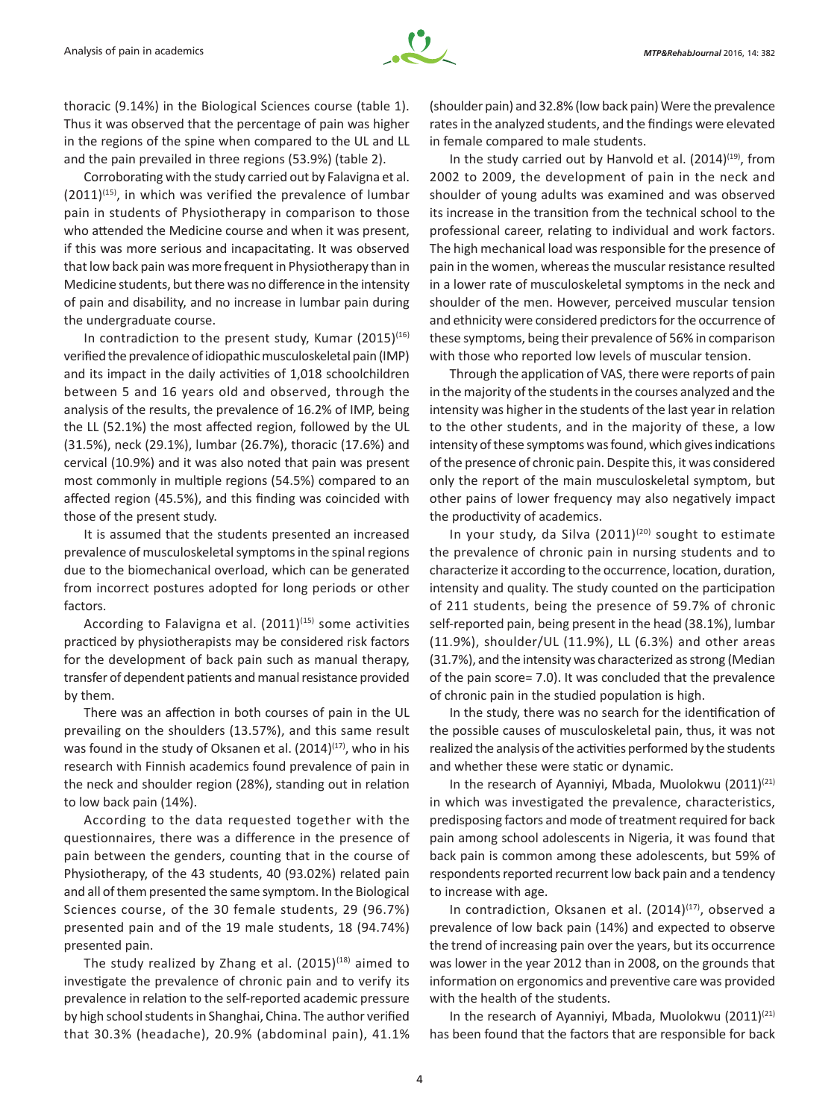thoracic (9.14%) in the Biological Sciences course (table 1). Thus it was observed that the percentage of pain was higher in the regions of the spine when compared to the UL and LL and the pain prevailed in three regions (53.9%) (table 2).

Corroborating with the study carried out by Falavigna et al.  $(2011)^{(15)}$ , in which was verified the prevalence of lumbar pain in students of Physiotherapy in comparison to those who attended the Medicine course and when it was present, if this was more serious and incapacitating. It was observed that low back pain was more frequent in Physiotherapy than in Medicine students, but there was no difference in the intensity of pain and disability, and no increase in lumbar pain during the undergraduate course.

In contradiction to the present study, Kumar  $(2015)^{(16)}$ verified the prevalence of idiopathic musculoskeletal pain (IMP) and its impact in the daily activities of 1,018 schoolchildren between 5 and 16 years old and observed, through the analysis of the results, the prevalence of 16.2% of IMP, being the LL (52.1%) the most affected region, followed by the UL (31.5%), neck (29.1%), lumbar (26.7%), thoracic (17.6%) and cervical (10.9%) and it was also noted that pain was present most commonly in multiple regions (54.5%) compared to an affected region (45.5%), and this finding was coincided with those of the present study.

It is assumed that the students presented an increased prevalence of musculoskeletal symptoms in the spinal regions due to the biomechanical overload, which can be generated from incorrect postures adopted for long periods or other factors.

According to Falavigna et al.  $(2011)^{(15)}$  some activities practiced by physiotherapists may be considered risk factors for the development of back pain such as manual therapy, transfer of dependent patients and manual resistance provided by them.

There was an affection in both courses of pain in the UL prevailing on the shoulders (13.57%), and this same result was found in the study of Oksanen et al.  $(2014)^{(17)}$ , who in his research with Finnish academics found prevalence of pain in the neck and shoulder region (28%), standing out in relation to low back pain (14%).

According to the data requested together with the questionnaires, there was a difference in the presence of pain between the genders, counting that in the course of Physiotherapy, of the 43 students, 40 (93.02%) related pain and all of them presented the same symptom. In the Biological Sciences course, of the 30 female students, 29 (96.7%) presented pain and of the 19 male students, 18 (94.74%) presented pain.

The study realized by Zhang et al.  $(2015)^{(18)}$  aimed to investigate the prevalence of chronic pain and to verify its prevalence in relation to the self-reported academic pressure by high school students in Shanghai, China. The author verified that 30.3% (headache), 20.9% (abdominal pain), 41.1% (shoulder pain) and 32.8% (low back pain) Were the prevalence rates in the analyzed students, and the findings were elevated in female compared to male students.

In the study carried out by Hanvold et al.  $(2014)^{(19)}$ , from 2002 to 2009, the development of pain in the neck and shoulder of young adults was examined and was observed its increase in the transition from the technical school to the professional career, relating to individual and work factors. The high mechanical load was responsible for the presence of pain in the women, whereas the muscular resistance resulted in a lower rate of musculoskeletal symptoms in the neck and shoulder of the men. However, perceived muscular tension and ethnicity were considered predictors for the occurrence of these symptoms, being their prevalence of 56% in comparison with those who reported low levels of muscular tension.

Through the application of VAS, there were reports of pain in the majority of the students in the courses analyzed and the intensity was higher in the students of the last year in relation to the other students, and in the majority of these, a low intensity of these symptoms was found, which gives indications of the presence of chronic pain. Despite this, it was considered only the report of the main musculoskeletal symptom, but other pains of lower frequency may also negatively impact the productivity of academics.

In your study, da Silva  $(2011)^{(20)}$  sought to estimate the prevalence of chronic pain in nursing students and to characterize it according to the occurrence, location, duration, intensity and quality. The study counted on the participation of 211 students, being the presence of 59.7% of chronic self-reported pain, being present in the head (38.1%), lumbar (11.9%), shoulder/UL (11.9%), LL (6.3%) and other areas (31.7%), and the intensity was characterized as strong (Median of the pain score= 7.0). It was concluded that the prevalence of chronic pain in the studied population is high.

In the study, there was no search for the identification of the possible causes of musculoskeletal pain, thus, it was not realized the analysis of the activities performed by the students and whether these were static or dynamic.

In the research of Ayanniyi, Mbada, Muolokwu (2011)<sup>(21)</sup> in which was investigated the prevalence, characteristics, predisposing factors and mode of treatment required for back pain among school adolescents in Nigeria, it was found that back pain is common among these adolescents, but 59% of respondents reported recurrent low back pain and a tendency to increase with age.

In contradiction, Oksanen et al.  $(2014)^{(17)}$ , observed a prevalence of low back pain (14%) and expected to observe the trend of increasing pain over the years, but its occurrence was lower in the year 2012 than in 2008, on the grounds that information on ergonomics and preventive care was provided with the health of the students.

In the research of Ayanniyi, Mbada, Muolokwu  $(2011)^{(21)}$ has been found that the factors that are responsible for back